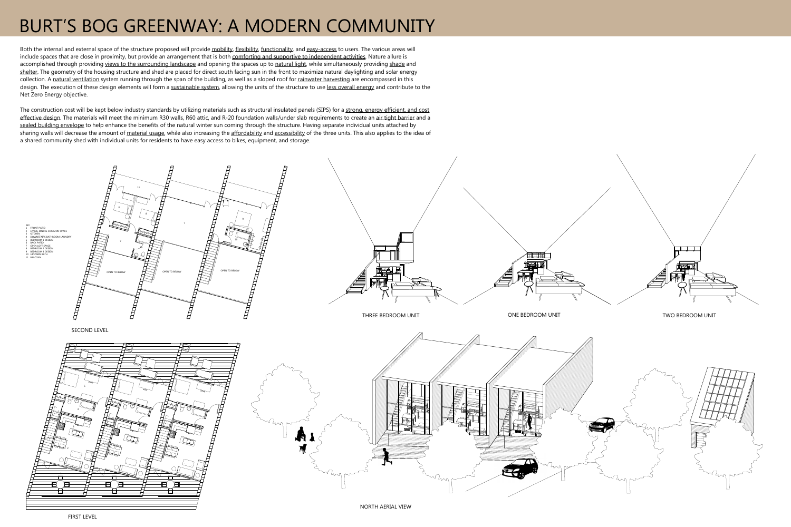## BURT'S BOG GREENWAY: A MODERN COMMUNITY

Both the internal and external space of the structure proposed will provide mobility, flexibility, functionality, and easy-access to users. The various areas will include spaces that are close in proximity, but provide an arrangement that is both comforting and supportive to independent activities. Nature allure is accomplished through providing views to the surrounding landscape and opening the spaces up to natural light, while simultaneously providing shade and shelter. The geometry of the housing structure and shed are placed for direct south facing sun in the front to maximize natural daylighting and solar energy collection. A natural ventilation system running through the span of the building, as well as a sloped roof for rainwater harvesting are encompassed in this design. The execution of these design elements will form a sustainable system, allowing the units of the structure to use less overall energy and contribute to the Net Zero Energy objective.

The construction cost will be kept below industry standards by utilizing materials such as structural insulated panels (SIPS) for a strong, energy efficient, and cost effective design. The materials will meet the minimum R30 walls, R60 attic, and R-20 foundation walls/under slab requirements to create an air tight barrier and a sealed building envelope to help enhance the benefits of the natural winter sun coming through the structure. Having separate individual units attached by sharing walls will decrease the amount of material usage, while also increasing the affordability and accessibility of the three units. This also applies to the idea of a shared community shed with individual units for residents to have easy access to bikes, equipment, and storage.



THREE BEDROOM UNIT



FIRST LEVEL

TA A SECOND ONE BEDROOM UNIT A REAL PROPERTY CONSIDER TWO BEDROOM UNIT

SECOND LEVEL OPEN TO BELOWOPEN TO BELOW  $\Box$  OPEN TO BELOW 234561778891010KEY 1 FRONT PATIO 2 LIVING-DINING COMMON SPACE 3 KITCHEN 4 DOWNSTAIRS BATHROOM-LAUNDRY 5 BEDROOM 1 DESIGN 6 BACK PATIO 7 OPEN LOFT SPACE 8 BEDROOM 2 DESIGN 9 BEDROOM 3 DESIGN 10 UPSTAIRS BATH11 BALCONY11